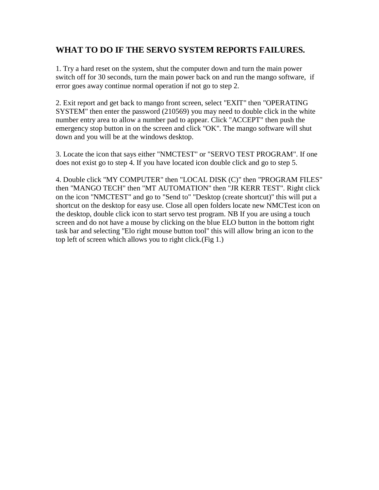## **WHAT TO DO IF THE SERVO SYSTEM REPORTS FAILURES.**

1. Try a hard reset on the system, shut the computer down and turn the main power switch off for 30 seconds, turn the main power back on and run the mango software, if error goes away continue normal operation if not go to step 2.

2. Exit report and get back to mango front screen, select "EXIT" then "OPERATING SYSTEM" then enter the password (210569) you may need to double click in the white number entry area to allow a number pad to appear. Click "ACCEPT" then push the emergency stop button in on the screen and click "OK". The mango software will shut down and you will be at the windows desktop.

3. Locate the icon that says either "NMCTEST" or "SERVO TEST PROGRAM". If one does not exist go to step 4. If you have located icon double click and go to step 5.

4. Double click "MY COMPUTER" then "LOCAL DISK (C)" then "PROGRAM FILES" then "MANGO TECH" then "MT AUTOMATION" then "JR KERR TEST". Right click on the icon "NMCTEST" and go to "Send to" "Desktop (create shortcut)" this will put a shortcut on the desktop for easy use. Close all open folders locate new NMCTest icon on the desktop, double click icon to start servo test program. NB If you are using a touch screen and do not have a mouse by clicking on the blue ELO button in the bottom right task bar and selecting "Elo right mouse button tool" this will allow bring an icon to the top left of screen which allows you to right click.(Fig 1.)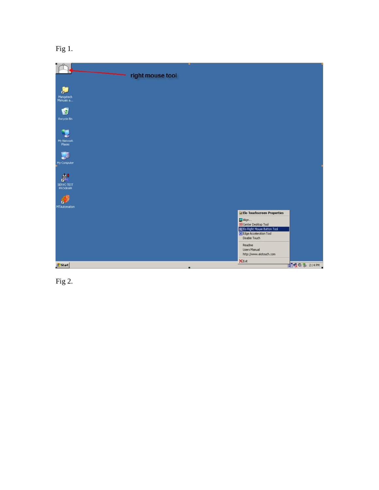Fig 1.



Fig 2.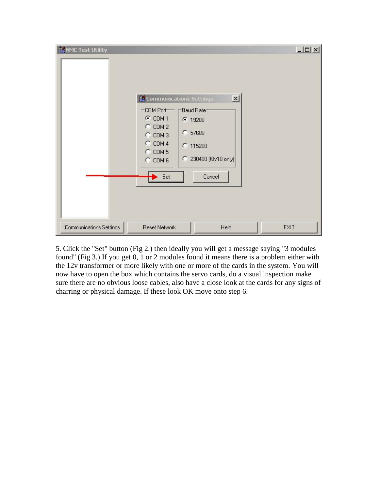

5. Click the "Set" button (Fig 2.) then ideally you will get a message saying "3 modules found" (Fig 3.) If you get 0, 1 or 2 modules found it means there is a problem either with the 12v transformer or more likely with one or more of the cards in the system. You will now have to open the box which contains the servo cards, do a visual inspection make sure there are no obvious loose cables, also have a close look at the cards for any signs of charring or physical damage. If these look OK move onto step 6.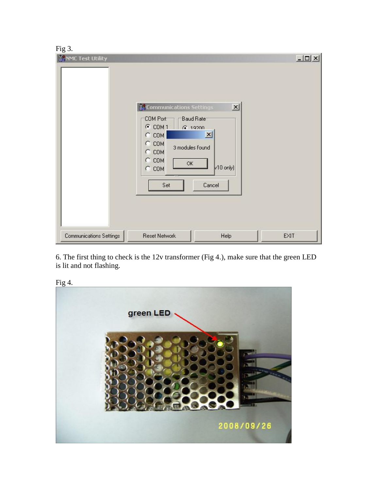## $Fig 3.$

| - - 0 - -<br><b>NANC Test Utility</b> | <b>Communications Settings</b><br>COM Port<br>G COM 1<br>$\subset$ COM<br>$C$ COM<br>$C$ COM<br>$C$ COM<br>OK<br>$\subset$ COM<br>Set | $\mathbf{x}$<br>Baud Rate <sup>-</sup><br>6.19200<br>$\mathbf{x}$<br>3 modules found<br>$v10$ only)<br>Cancel | $-10x$ |
|---------------------------------------|---------------------------------------------------------------------------------------------------------------------------------------|---------------------------------------------------------------------------------------------------------------|--------|
| Communications Settings               | <b>Reset Network</b>                                                                                                                  | Help                                                                                                          | EXIT   |

6. The first thing to check is the 12v transformer (Fig 4.), make sure that the green LED is lit and not flashing.



Fig 4.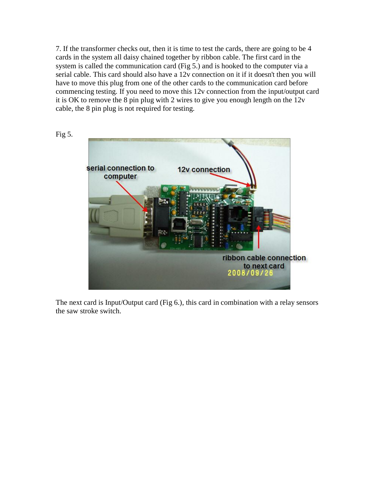7. If the transformer checks out, then it is time to test the cards, there are going to be 4 cards in the system all daisy chained together by ribbon cable. The first card in the system is called the communication card (Fig 5.) and is hooked to the computer via a serial cable. This card should also have a 12v connection on it if it doesn't then you will have to move this plug from one of the other cards to the communication card before commencing testing. If you need to move this 12v connection from the input/output card it is OK to remove the 8 pin plug with 2 wires to give you enough length on the 12v cable, the 8 pin plug is not required for testing.



The next card is Input/Output card (Fig 6.), this card in combination with a relay sensors the saw stroke switch.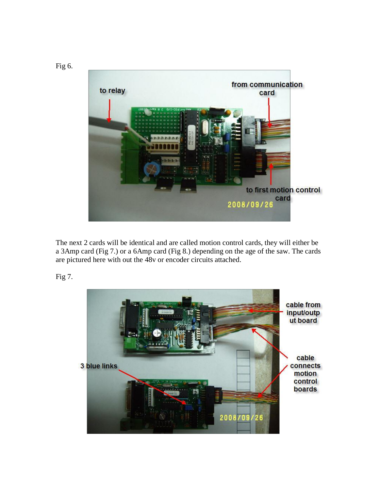

The next 2 cards will be identical and are called motion control cards, they will either be a 3Amp card (Fig 7.) or a 6Amp card (Fig 8.) depending on the age of the saw. The cards are pictured here with out the 48v or encoder circuits attached.

Fig 7.

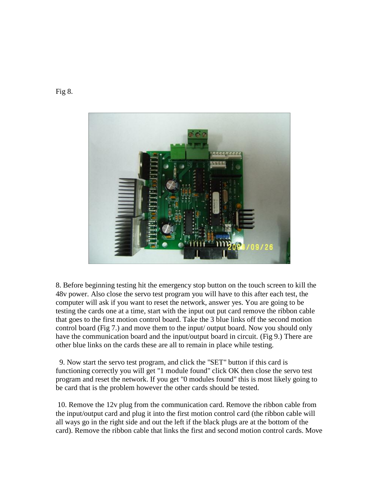

8. Before beginning testing hit the emergency stop button on the touch screen to kill the 48v power. Also close the servo test program you will have to this after each test, the computer will ask if you want to reset the network, answer yes. You are going to be testing the cards one at a time, start with the input out put card remove the ribbon cable that goes to the first motion control board. Take the 3 blue links off the second motion control board (Fig 7.) and move them to the input/ output board. Now you should only have the communication board and the input/output board in circuit. (Fig 9.) There are other blue links on the cards these are all to remain in place while testing.

 9. Now start the servo test program, and click the "SET" button if this card is functioning correctly you will get "1 module found" click OK then close the servo test program and reset the network. If you get "0 modules found" this is most likely going to be card that is the problem however the other cards should be tested.

10. Remove the 12v plug from the communication card. Remove the ribbon cable from the input/output card and plug it into the first motion control card (the ribbon cable will all ways go in the right side and out the left if the black plugs are at the bottom of the card). Remove the ribbon cable that links the first and second motion control cards. Move

Fig 8.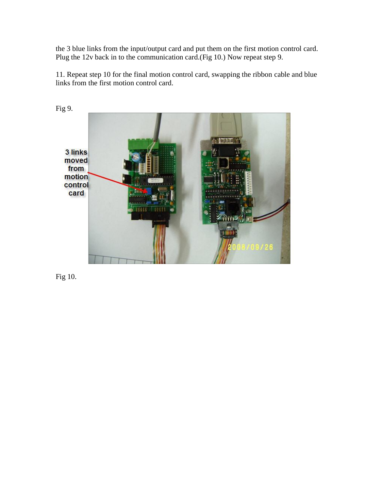the 3 blue links from the input/output card and put them on the first motion control card. Plug the 12v back in to the communication card.(Fig 10.) Now repeat step 9.

11. Repeat step 10 for the final motion control card, swapping the ribbon cable and blue links from the first motion control card.



Fig 10.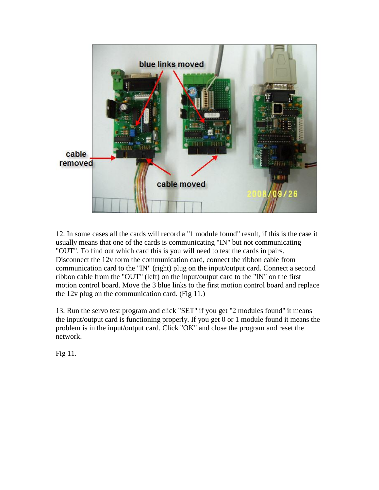

12. In some cases all the cards will record a "1 module found" result, if this is the case it usually means that one of the cards is communicating "IN" but not communicating "OUT". To find out which card this is you will need to test the cards in pairs. Disconnect the 12v form the communication card, connect the ribbon cable from communication card to the "IN" (right) plug on the input/output card. Connect a second ribbon cable from the "OUT" (left) on the input/output card to the "IN" on the first motion control board. Move the 3 blue links to the first motion control board and replace the 12v plug on the communication card. (Fig 11.)

13. Run the servo test program and click "SET" if you get "2 modules found" it means the input/output card is functioning properly. If you get 0 or 1 module found it means the problem is in the input/output card. Click "OK" and close the program and reset the network.

Fig 11.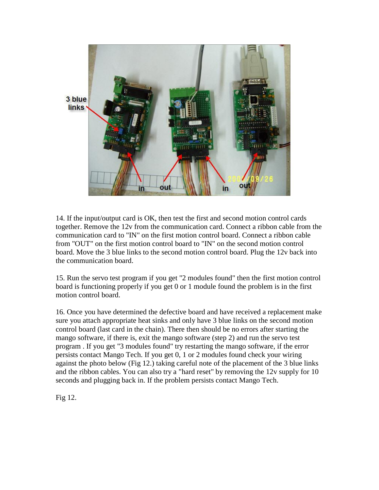

14. If the input/output card is OK, then test the first and second motion control cards together. Remove the 12v from the communication card. Connect a ribbon cable from the communication card to "IN" on the first motion control board. Connect a ribbon cable from "OUT" on the first motion control board to "IN" on the second motion control board. Move the 3 blue links to the second motion control board. Plug the 12v back into the communication board.

15. Run the servo test program if you get "2 modules found" then the first motion control board is functioning properly if you get 0 or 1 module found the problem is in the first motion control board.

16. Once you have determined the defective board and have received a replacement make sure you attach appropriate heat sinks and only have 3 blue links on the second motion control board (last card in the chain). There then should be no errors after starting the mango software, if there is, exit the mango software (step 2) and run the servo test program . If you get "3 modules found" try restarting the mango software, if the error persists contact Mango Tech. If you get 0, 1 or 2 modules found check your wiring against the photo below (Fig 12.) taking careful note of the placement of the 3 blue links and the ribbon cables. You can also try a "hard reset" by removing the 12v supply for 10 seconds and plugging back in. If the problem persists contact Mango Tech.

Fig 12.